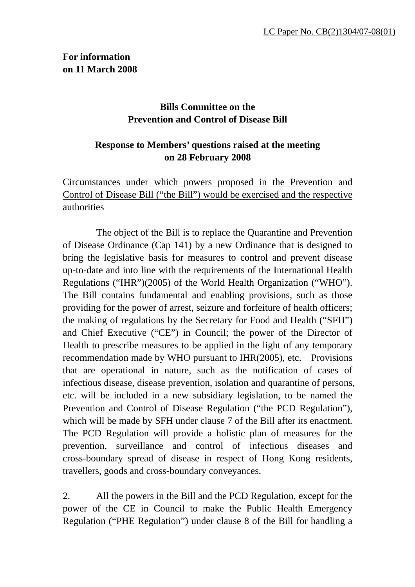# **Bills Committee on the Prevention and Control of Disease Bill**

# **Response to Members' questions raised at the meeting on 28 February 2008**

Circumstances under which powers proposed in the Prevention and Control of Disease Bill ("the Bill") would be exercised and the respective authorities

 The object of the Bill is to replace the Quarantine and Prevention of Disease Ordinance (Cap 141) by a new Ordinance that is designed to bring the legislative basis for measures to control and prevent disease up-to-date and into line with the requirements of the International Health Regulations ("IHR")(2005) of the World Health Organization ("WHO"). The Bill contains fundamental and enabling provisions, such as those providing for the power of arrest, seizure and forfeiture of health officers; the making of regulations by the Secretary for Food and Health ("SFH") and Chief Executive ("CE") in Council; the power of the Director of Health to prescribe measures to be applied in the light of any temporary recommendation made by WHO pursuant to IHR(2005), etc. Provisions that are operational in nature, such as the notification of cases of infectious disease, disease prevention, isolation and quarantine of persons, etc. will be included in a new subsidiary legislation, to be named the Prevention and Control of Disease Regulation ("the PCD Regulation"), which will be made by SFH under clause 7 of the Bill after its enactment. The PCD Regulation will provide a holistic plan of measures for the prevention, surveillance and control of infectious diseases and cross-boundary spread of disease in respect of Hong Kong residents, travellers, goods and cross-boundary conveyances.

2. All the powers in the Bill and the PCD Regulation, except for the power of the CE in Council to make the Public Health Emergency Regulation ("PHE Regulation") under clause 8 of the Bill for handling a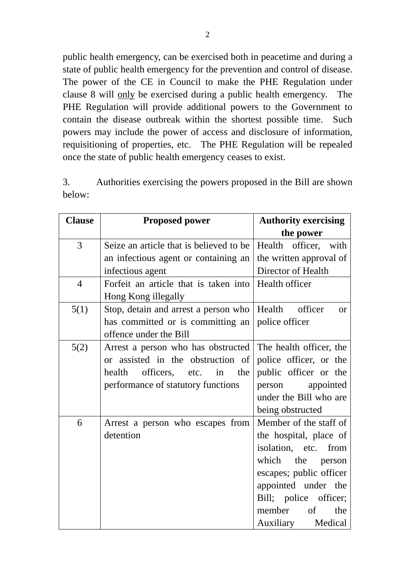public health emergency, can be exercised both in peacetime and during a state of public health emergency for the prevention and control of disease. The power of the CE in Council to make the PHE Regulation under clause 8 will only be exercised during a public health emergency. The PHE Regulation will provide additional powers to the Government to contain the disease outbreak within the shortest possible time. Such powers may include the power of access and disclosure of information, requisitioning of properties, etc. The PHE Regulation will be repealed once the state of public health emergency ceases to exist.

3. Authorities exercising the powers proposed in the Bill are shown below:

| <b>Clause</b>  | <b>Proposed power</b>                         | <b>Authority exercising</b> |
|----------------|-----------------------------------------------|-----------------------------|
|                |                                               | the power                   |
| 3              | Seize an article that is believed to be       | Health officer, with        |
|                | an infectious agent or containing an          | the written approval of     |
|                | infectious agent                              | Director of Health          |
| $\overline{4}$ | Forfeit an article that is taken into         | Health officer              |
|                | Hong Kong illegally                           |                             |
| 5(1)           | Stop, detain and arrest a person who   Health | officer<br><b>or</b>        |
|                | has committed or is committing an             | police officer              |
|                | offence under the Bill                        |                             |
| 5(2)           | Arrest a person who has obstructed            | The health officer, the     |
|                | or assisted in the obstruction of             | police officer, or the      |
|                | health<br>officers, etc. in the               | public officer or the       |
|                | performance of statutory functions            | person<br>appointed         |
|                |                                               | under the Bill who are      |
|                |                                               | being obstructed            |
| 6              | Arrest a person who escapes from              | Member of the staff of      |
|                | detention                                     | the hospital, place of      |
|                |                                               | isolation, etc. from        |
|                |                                               | which the person            |
|                |                                               | escapes; public officer     |
|                |                                               | appointed under the         |
|                |                                               | Bill; police officer;       |
|                |                                               | the<br>member<br>of         |
|                |                                               | Auxiliary Medical           |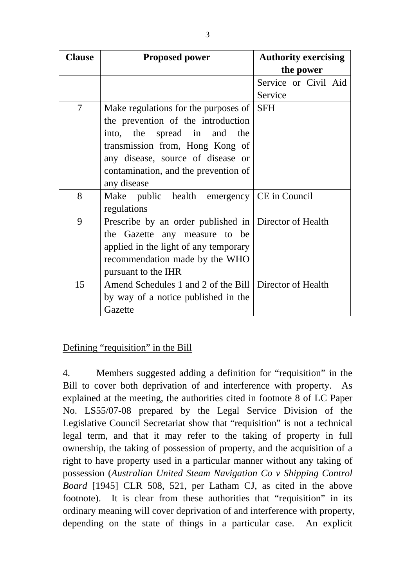| <b>Clause</b>  | <b>Proposed power</b>                                  | <b>Authority exercising</b> |
|----------------|--------------------------------------------------------|-----------------------------|
|                |                                                        | the power                   |
|                |                                                        | Service or Civil Aid        |
|                |                                                        | Service                     |
| $\overline{7}$ | Make regulations for the purposes of                   | <b>SFH</b>                  |
|                | the prevention of the introduction                     |                             |
|                | into, the spread in and<br>the                         |                             |
|                | transmission from, Hong Kong of                        |                             |
|                | any disease, source of disease or                      |                             |
|                | contamination, and the prevention of                   |                             |
|                | any disease                                            |                             |
| 8              | Make public health emergency CE in Council             |                             |
|                | regulations                                            |                             |
| 9              | Prescribe by an order published in Director of Health  |                             |
|                | the Gazette any measure to be                          |                             |
|                | applied in the light of any temporary                  |                             |
|                | recommendation made by the WHO                         |                             |
|                | pursuant to the IHR                                    |                             |
| 15             | Amend Schedules 1 and 2 of the Bill Director of Health |                             |
|                | by way of a notice published in the                    |                             |
|                | Gazette                                                |                             |

Defining "requisition" in the Bill

4. Members suggested adding a definition for "requisition" in the Bill to cover both deprivation of and interference with property. As explained at the meeting, the authorities cited in footnote 8 of LC Paper No. LS55/07-08 prepared by the Legal Service Division of the Legislative Council Secretariat show that "requisition" is not a technical legal term, and that it may refer to the taking of property in full ownership, the taking of possession of property, and the acquisition of a right to have property used in a particular manner without any taking of possession (*Australian United Steam Navigation Co v Shipping Control Board* [1945] CLR 508, 521, per Latham CJ, as cited in the above footnote). It is clear from these authorities that "requisition" in its ordinary meaning will cover deprivation of and interference with property, depending on the state of things in a particular case. An explicit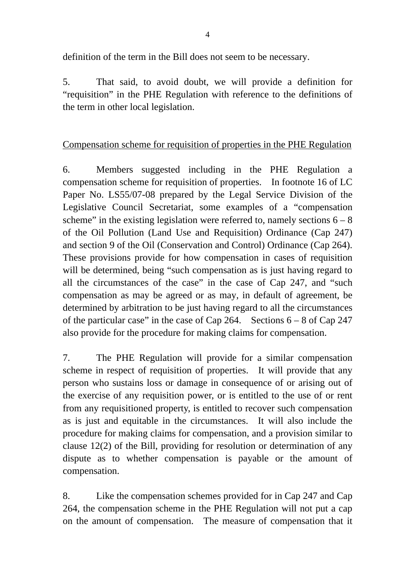definition of the term in the Bill does not seem to be necessary.

5. That said, to avoid doubt, we will provide a definition for "requisition" in the PHE Regulation with reference to the definitions of the term in other local legislation.

## Compensation scheme for requisition of properties in the PHE Regulation

6. Members suggested including in the PHE Regulation a compensation scheme for requisition of properties. In footnote 16 of LC Paper No. LS55/07-08 prepared by the Legal Service Division of the Legislative Council Secretariat, some examples of a "compensation scheme" in the existing legislation were referred to, namely sections  $6 - 8$ of the Oil Pollution (Land Use and Requisition) Ordinance (Cap 247) and section 9 of the Oil (Conservation and Control) Ordinance (Cap 264). These provisions provide for how compensation in cases of requisition will be determined, being "such compensation as is just having regard to all the circumstances of the case" in the case of Cap 247, and "such compensation as may be agreed or as may, in default of agreement, be determined by arbitration to be just having regard to all the circumstances of the particular case" in the case of Cap 264. Sections  $6 - 8$  of Cap 247 also provide for the procedure for making claims for compensation.

7. The PHE Regulation will provide for a similar compensation scheme in respect of requisition of properties. It will provide that any person who sustains loss or damage in consequence of or arising out of the exercise of any requisition power, or is entitled to the use of or rent from any requisitioned property, is entitled to recover such compensation as is just and equitable in the circumstances. It will also include the procedure for making claims for compensation, and a provision similar to clause 12(2) of the Bill, providing for resolution or determination of any dispute as to whether compensation is payable or the amount of compensation.

8. Like the compensation schemes provided for in Cap 247 and Cap 264, the compensation scheme in the PHE Regulation will not put a cap on the amount of compensation. The measure of compensation that it